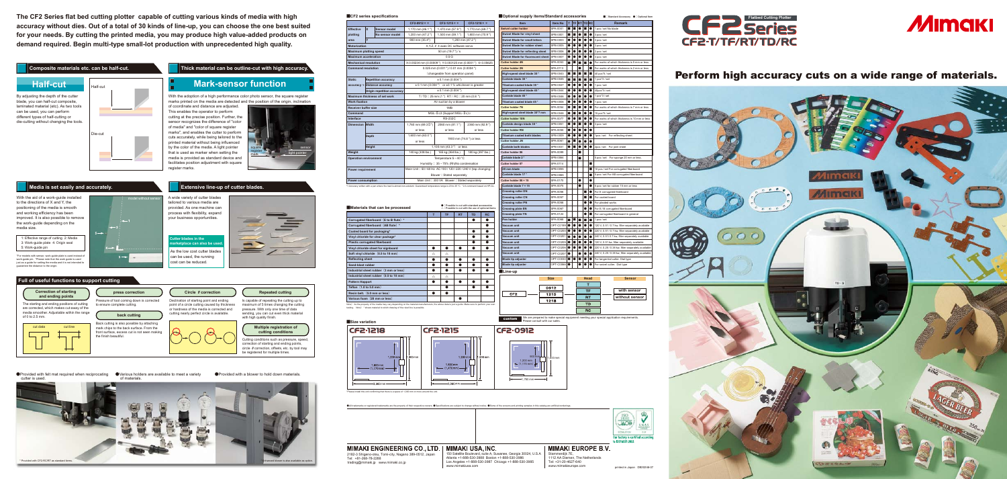## **■CF2 series specifications**

|                               |        |                               | CF2-0912 * *                                                | CF2-1215 * *                             | CF2-1218 * *            |  |  |  |  |
|-------------------------------|--------|-------------------------------|-------------------------------------------------------------|------------------------------------------|-------------------------|--|--|--|--|
| <b>Effective</b>              | X      | <b>Sensor model</b>           | 1,170 mm (46.1")                                            | 1,470 mm (57.9")                         | 1,770 mm (69.7")        |  |  |  |  |
| plotting                      |        | No sensor model               | 1,200 mm (47.2")                                            | 1,500 mm (59.1")                         | 1,800 mm (70.9")        |  |  |  |  |
| area                          | Y      |                               | 900 mm (35.4")                                              |                                          | 1,200 mm (47.2")        |  |  |  |  |
| <b>Motorization</b>           |        |                               |                                                             | X.Y.Z. $\theta$ 4 axes DC software servo |                         |  |  |  |  |
| <b>Maximum plotting speed</b> |        |                               | 50 cm (19.7") / s                                           |                                          |                         |  |  |  |  |
| <b>Maximum acceleration</b>   |        |                               |                                                             | 0.5 <sub>G</sub>                         |                         |  |  |  |  |
| <b>Mechanical resolution</b>  |        |                               | X:0.00234 mm (0.00009 ") Y:0.003125 mm (0.0001 ") ⊖:0.05625 |                                          |                         |  |  |  |  |
| <b>Command resolution</b>     |        |                               |                                                             | 0.025 mm (0.001") / 0.01 mm (0.0004")    |                         |  |  |  |  |
|                               |        |                               | (changeable from operation panel)                           |                                          |                         |  |  |  |  |
| <b>Static</b>                 |        | <b>Repetition accuracy</b>    | $± 0.1$ mm (0.004")                                         |                                          |                         |  |  |  |  |
|                               |        | accuracy *1 Distance accuracy | $\pm$ 0.1 mm (0.004") or $\pm$ 0.1 % whichever is greater   |                                          |                         |  |  |  |  |
|                               |        | Origin repetition accuracy    |                                                             | $± 0.1$ mm $(0.004")$                    |                         |  |  |  |  |
|                               |        | Maximum thickness of set work |                                                             | T/TD: 25 mm (1") RT/RC: 20 mm (0.8")     |                         |  |  |  |  |
| <b>Work fixation</b>          |        |                               | Air suction by a blower                                     |                                          |                         |  |  |  |  |
| Receiver buffer size          |        |                               | 1MB                                                         |                                          |                         |  |  |  |  |
| Command                       |        |                               | MGL- II c3 (Support MGL- II c)*2                            |                                          |                         |  |  |  |  |
| Interface                     |        |                               | <b>RS-232C</b>                                              |                                          |                         |  |  |  |  |
| <b>Dimension Width</b>        |        |                               | 1,760 mm (69.3 $\overline{II}$ ")                           | 2060 mm (81.1")                          | 2360 mm (92.9")         |  |  |  |  |
| <b>Depth</b>                  |        |                               | or less                                                     | or less                                  | or less                 |  |  |  |  |
|                               |        |                               | $1,600$ mm $(63.0")$                                        |                                          | 1900 mm (74.8") or less |  |  |  |  |
|                               |        |                               | or less                                                     |                                          |                         |  |  |  |  |
|                               | Height |                               |                                                             | 1,100 mm (43.3") or less                 |                         |  |  |  |  |
| Weight                        |        |                               | 140 kg (308 lbs.)                                           | 165 kg (364 lbs.)                        | 180 kg (397 lbs.)       |  |  |  |  |
| <b>Operation environment</b>  |        |                               | Temperature: 5 - 40 °C                                      |                                          |                         |  |  |  |  |
|                               |        |                               | Humidity: 35 - 75% (Rh)No condensation                      |                                          |                         |  |  |  |  |
| <b>Power requirement</b>      |        |                               | Main Unit: 50/60 Hz AC 100/120/220/240 V (tap changing)     |                                          |                         |  |  |  |  |
|                               |        |                               | Blower: Stated separately                                   |                                          |                         |  |  |  |  |
| <b>Power consumption</b>      |        |                               | Main Unit: 300 VA Blower: Stated separately                 |                                          |                         |  |  |  |  |

# **■Size variation** CF2-1218

testing. Note**)** \* shows material to which drawing of the ruled line is possible.

\*Please install this unit confirming that there is a space of 1,000 mm or more around the unit.

| Materials that can be processed           | ו טססוטוס גט טעג איונוו סנמוועמוע מטטססטווספ<br>$\triangle$ : Possible to cut with the use of optional items | <b>Creasing p</b> |           |           |           |                    |
|-------------------------------------------|--------------------------------------------------------------------------------------------------------------|-------------------|-----------|-----------|-----------|--------------------|
|                                           | т                                                                                                            | <b>TF</b>         | <b>RT</b> | <b>TD</b> | <b>RC</b> | <b>Creasing p</b>  |
| Corrugated fiberboard (E to B flute) *    |                                                                                                              |                   |           |           |           | Pen holder         |
| Corrugated fiberboard (AB flute) *        |                                                                                                              |                   |           |           |           | Vacuum ur          |
| Coated board for packaging*               |                                                                                                              |                   |           |           | ●         | Vacuum ur          |
| Vinyl chloride for clear package*         |                                                                                                              |                   |           |           | ●         | Vacuum ur          |
| Plastic corrugated fiberboard             |                                                                                                              |                   |           |           |           | Vacuum ur          |
| Vinyl chloride sheet for signboard        |                                                                                                              |                   |           |           |           | Vacuum ur          |
| Soft vinyl chloride (0.5 to 10 mm)        | Δ                                                                                                            | Δ                 |           |           |           | Vacuum ur          |
| <b>Reflecting sheet</b>                   |                                                                                                              | ●                 |           |           |           | <b>Blade tip a</b> |
| Sand-blast rubber                         |                                                                                                              |                   |           |           |           | <b>Blade tip a</b> |
| Industrial sheet rubber (3 mm or less)    |                                                                                                              |                   |           |           |           | Line-up            |
| Industrial sheet rubber (0.5 to 10 mm)    | Δ                                                                                                            | Δ                 |           |           |           |                    |
| <b>Pattern Happort</b>                    |                                                                                                              | ●                 |           |           |           |                    |
| Teflon $(1.0 \text{ to } 5.0 \text{ mm})$ |                                                                                                              |                   |           |           |           |                    |
| Resin belt. (5.0 mm or less)              |                                                                                                              |                   |           |           |           | CF <sub>2</sub>    |
| Various foam (20 mm or less)              |                                                                                                              |                   |           |           |           |                    |



**Size Head Sensor**  $\overline{1}$  $0912$ **TF with sensor**  $CF2$  $\frac{1215}{ }$  $RT$ **without sensor**  $\overline{1218}$  $\overline{ID}$  $R$  RC

custom We are prepared to make special equipment meeting your special application requirements.<br>
Please consult with our sales.

●All trademarks or registered trademarks are the property of their respective owners. ●Specifications are subject to change without notice. ●Some of the screens and printing samples in this catalog are artificial renderin



**Cutter blades in the ketplace can also be us**  **●:Possible to cut with standard accessories** 

correction of starting and ending points,<br>circle *θ* correction, offsets, etc. by tool may be registered for multiple times.



| Optional supply items/Standard accessories |           |                |           |                |                |                | ■ : Standard Accessory ● : Optional Item           |
|--------------------------------------------|-----------|----------------|-----------|----------------|----------------|----------------|----------------------------------------------------|
| Item                                       | Item.No   | т              | TF        | RT             |                | TD RC          | <b>Remark</b>                                      |
| <b>Swivel cutter holder</b>                | SPA-0001  | ■              | ■         | O              | ■              | $\bullet$      | 1 pcs / set No blade                               |
| Swivel Blade for vinyl sheet               | SPB-0001  | ■              | ■         |                | ■              | $\bullet$      | 3 pcs / set                                        |
| <b>Swivel Blade for small letters</b>      | SPB-0003  | $\bullet$      | $\bullet$ |                | $\bullet$      |                | 3 pcs / set                                        |
| Swivel Blade for rubber sheet              | SPB-0005  | $\bullet$      | $\bullet$ |                | $\bullet$      | $\bullet$      | 3 pcs / set                                        |
| <b>Swivel Blade for reflevting sheet</b>   | SPB-0006  | O              | $\bullet$ |                | ●              |                | 2 pcs / set                                        |
| <b>Swivel Blade for fluorescent sheet</b>  | SPB-0007  | $\bullet$      | O         | O              | $\bullet$      | $\bullet$      | 3 pcs / set                                        |
| <b>Cutter holder 4N</b>                    | SPA-0053  | ■              | ■         | п              | ■              |                | For works of which thickness is 5 mm or less       |
| <b>Cutter holder 2N</b>                    | SPA-0113  |                |           | O              |                | ■              | For works of which thickness is 2 mm or less       |
| High-speed steel blade 30°                 | SPB-0043  | ■              | ■         | п              | $\blacksquare$ | п              | 40 pcs*5 / set                                     |
| Carbide blade 30°                          | SPB-0045  | $\blacksquare$ | ■         | ш              | $\blacksquare$ | $\blacksquare$ | 1 pcs*3 / set                                      |
| Titanium-coated blade 30 °                 | SPB-0047  | $\bullet$      | $\bullet$ |                | $\bullet$      | $\bullet$      | 1 pcs / set                                        |
| High-speed steel blade 45°                 | SPB-0044  | $\bullet$      | $\bullet$ | 0              | $\bullet$      |                | 40pcs*5 / set                                      |
| Carbide blade 45°                          | SPB-0046  | $\bullet$      |           |                | $\bullet$      |                | 1 $pcs*3$ / set                                    |
| Titanium coated blade 45°                  | SPB-0008  | $\bullet$      |           | $\bullet$      | $\bullet$      | $\bullet$      | 1 pcs / set                                        |
| <b>Cutter holder 7N</b>                    | SPA-0054  | $\bullet$      | ■         | 0              | $\bullet$      | 0              | For works of which thickness is 7 mm or less       |
| High-speed steel blade 30°7 mm             | SPB-0048  | $\bullet$      | ■         |                | $\bullet$      |                | 15 pcs*5 / set                                     |
| <b>Cutter holder 10N</b>                   | SPA-0077  | $\bullet$      |           | п              | $\bullet$      | $\bullet$      | For works of which thickness is 10 mm or less      |
| Carbide design blade 30°                   | SPB-0051  | $\bullet$      | 0         | п              | $\bullet$      |                | 3 pcs / set                                        |
| <b>Cutter holder RN</b>                    | SPA-0055  | $\bullet$      | $\bullet$ | $\bullet$      | $\bullet$      | $\bullet$      |                                                    |
| <b>Titanium coated both blades</b>         | SPB-0009  | $\bullet$      | 0         | $\bullet$      | $\bullet$      | $\bullet$      | 1pcs / set For reflecting sheet                    |
| <b>Cutter holder JN</b>                    | SPA-0061  | $\bullet$      | ■         | $\bullet$      | $\bullet$      | $\bullet$      |                                                    |
| <b>Carbide both blades</b>                 | SPB-0031  | O              | ■         | O              | ●              | $\bullet$      | 2pcs / set For joint sheet                         |
| Cutter holder 06                           | SPA-0099  |                |           | ■              |                |                |                                                    |
| Carbide blade 2°                           | SPB-0064  |                |           | п              |                |                | 5 pcs / set For sponge 20 mm or less.              |
| Cutter holder 07                           | SPA-0114  |                |           |                |                | п              |                                                    |
| 20 mm blade                                | SPB-0055  |                |           |                |                | п              | 10 pcs / set For corrugated fiberboard             |
| Carbide blade 17°                          | SPB-0065  |                |           |                |                | ■              | 5 pcs / set For AB corrugated fiberboard           |
| Cutter holder 08 × 15                      | SPA-0170  |                |           | $\bullet$      |                | $\bullet$      |                                                    |
| Carbide blade 7 × 15                       | SPA-0075  |                |           | ●              |                | $\bullet$      | 5 pcs / set for rubber 15 mm or less               |
| <b>Creasing roller DN</b>                  | SPA-0056  |                |           |                | ■              | $\bullet$      | For E corrugated fiberboard                        |
| <b>Creasing roller CN</b>                  | SPA-0057  |                |           |                | П              | п              | For coated board                                   |
| <b>Creasing roller PN</b>                  | SPA-0058  |                |           |                | O              | $\bullet$      | For pleated works                                  |
| <b>Creasing plate EN</b>                   | SPA-0067  |                |           |                | A              | $\bullet$      | For E / B corrugated fiberboard                    |
| <b>Creasing plate YN</b>                   | SPA-0124  |                |           |                | a              | ■              | For corrugated fiberboard in general               |
| Pen holder                                 | SPA-0068  | п              | ш         | $\blacksquare$ | ш              | п              | 1 pcs / set                                        |
| Vacuum unit                                | OPT-C0199 | $\bullet$      | ●         | $\bullet$      | $\bullet$      |                | 120 V, 0.51 / 0.7 kw, filter separately available  |
| Vacuum unit                                | OPT-C0200 | $\bullet$      | ●         | $\bullet$      | $\bullet$      |                | 220 V, 0.51 / 0.7 kw, filter separately available  |
| Vacuum unit                                | OPT-C0201 | $\bullet$      |           | $\bullet$      | $\bullet$      | $\bullet$      | 240 V, 0.51/0.7 kw, filter separately available    |
| Vacuum unit                                | OPT-C0205 | $\bullet$      | ■         | ●              | $\bullet$      | $\bullet$      | 120 V, 0.51 kw, filter separately available        |
| Vacuum unit                                | OPT-C0206 | $\bullet$      | $\bullet$ | ●              | $\bullet$      | $\bullet$      | 220 V, 0.25 / 0.38 kw, filter separately available |
| Vacuum unit                                | OPT-C0207 | $\bullet$      |           | ●              | $\bullet$      | $\bullet$      | 240 V, 0.25 / 0.38 kw, filter separately available |
| <b>Blade tip adjuster</b>                  | OPT-C0030 | $\bullet$      | $\bullet$ | $\bullet$      | $\bullet$      | $\bullet$      | For tangential cutter. Dial type                   |
|                                            |           |                |           |                |                |                |                                                    |

\*For models with sensor, work-guide plate is used instead work-guide pin. \*Please note that the work guide is used just as a guide for setting the media and it is not intended to guarantee the distance to the origin.

### **MIMAKI ENGINEERING CO., LTD. |** 2182-3 Shigeno-otsu, Tomi-city, Nagano 389-0512, Japan Tel: +81-268-78-2288 trading@mimaki.jp www.mimaki.co.jp

**MIMAKI USA, INC.** 150 Satellite Boulevard, suite A, Suwanee, Georgia 30024, U.S.A

Atlanta +1-888-530-3988 Boston +1-888-530-3986 Los Angeles +1-888-530-3987 Chicago +1-888-530-3985 www.mimakiusa.co

**■**Optio

**MIMAKI EUROPE B.V.** Stammerdijk 7E, 1112 AA Diemen, The Netherlands Tel: +31-20-4627-640

**The CF2 Series flat bed cutting plotter capable of cutting various kinds of media with high accuracy without dies. Out of a total of 30 kinds of line-up, you can choose the one best suited for your needs. By cutting the printed media, you may produce high value-added products on demand required. Begin multi-type small-lot production with unprecedented high quality.** 

# Composite materials etc. can be half-cut. **The Composite material can be outline-cut with high accuracy.**

## **Media is set easily and accurately.**

### **Full of useful functions to support cutting**

**Correction of starting and ending points**

**Extensive line-up of cutter blades.**



By adjusting the depth of the cutter blade, you can half-cut composite, laminated material (etc). As two tools can be used, you can perform different types of half-cutting or die-cutting without changing the tools.

With the aid of a work-guide installed to the directions of X and Y, the positioning of the media is smooth and working efficiency has been improved. It is also possible to remove the work-guide depending on the media size.

> **press correction** Pressure of tool coming down is corrected to ensure complete cutting.

The starting and ending positions of cutting are corrected, which makes cut-away of the media smoother. Adjustable within the range of 0 to 2.5 mm.

**Multiple registration of cutting conditions** Cutting conditions such as pressure, speed,



Back cutting is also possible by attaching mark chips to the back surface. From the front surface, excess cut is not seen making the finish beautiful.

**Repeated cutting**

Is capable of repeating the cutting up to maximum of 5 times changing the cutting pressure. With only one time of data sending, you can cut even thick material

A wide variety of cutter blades tailored to various media are provided. As one machine can process with flexibility, expand your business opportunities.

**Mark-sensor function**

With the adoption of a high performance color photo sensor, the square register marks printed on the media are detected and the position of the origin, inclination

of coordinate and distance are adjusted. This enables the operator to perform cutting at the precise position. Further, the sensor recognizes the difference of "color of media" and "color of square register marks", and enables the cutter to perform cuts accurately, while being tailored to the printed material without being influenced by the color of the media. A light pointer that is used as marker when setting the media is provided as standard device and facilitates position adjustment with square

with high quality finish.

register marks.

As the low cost cutter blades can be used, the running cost can be reduced.



sensor light pointer

square register mark



1: Effective range of cutting 2: Media 3: Work-guide plate 4: Origin seal 5: Work-guide pin

model without sensor



●Provided with felt mat required when reciprocating cutter is used.

●Various holders are available to meet a variety

●Provided with a blower to hold down materials.

# Perform high accuracy cuts on a wide range of materials.









printed in Japan DB20246-07 www.mimakieurope.com